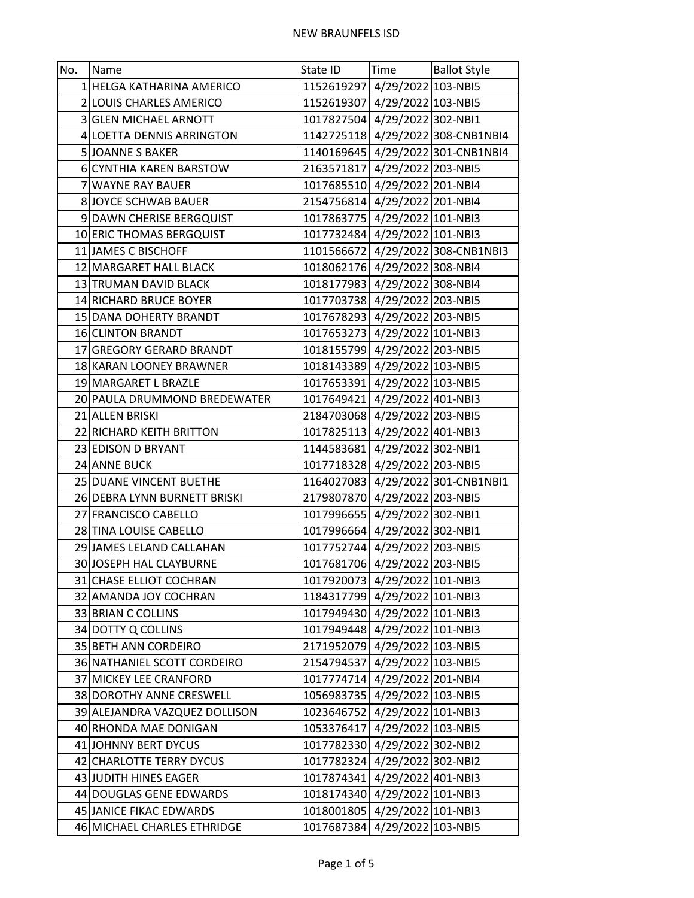| No. | Name                          | State ID                      | Time | <b>Ballot Style</b>               |
|-----|-------------------------------|-------------------------------|------|-----------------------------------|
|     | 1 HELGA KATHARINA AMERICO     | 1152619297 4/29/2022 103-NBI5 |      |                                   |
|     | 2 LOUIS CHARLES AMERICO       | 1152619307 4/29/2022 103-NBI5 |      |                                   |
|     | 3 GLEN MICHAEL ARNOTT         | 1017827504 4/29/2022 302-NBI1 |      |                                   |
|     | 4 LOETTA DENNIS ARRINGTON     |                               |      | 1142725118 4/29/2022 308-CNB1NBI4 |
|     | 5JOANNE S BAKER               |                               |      | 1140169645 4/29/2022 301-CNB1NBI4 |
|     | 6 CYNTHIA KAREN BARSTOW       | 2163571817 4/29/2022 203-NBI5 |      |                                   |
|     | 7 WAYNE RAY BAUER             | 1017685510 4/29/2022 201-NBI4 |      |                                   |
|     | 8 JOYCE SCHWAB BAUER          | 2154756814 4/29/2022 201-NBI4 |      |                                   |
|     | 9 DAWN CHERISE BERGQUIST      | 1017863775 4/29/2022 101-NBI3 |      |                                   |
|     | 10 ERIC THOMAS BERGQUIST      | 1017732484 4/29/2022 101-NBI3 |      |                                   |
|     | 11 JAMES C BISCHOFF           |                               |      | 1101566672 4/29/2022 308-CNB1NBI3 |
|     | 12 MARGARET HALL BLACK        | 1018062176 4/29/2022 308-NBI4 |      |                                   |
|     | 13 TRUMAN DAVID BLACK         | 1018177983 4/29/2022 308-NBI4 |      |                                   |
|     | 14 RICHARD BRUCE BOYER        | 1017703738 4/29/2022 203-NBI5 |      |                                   |
|     | 15 DANA DOHERTY BRANDT        | 1017678293 4/29/2022 203-NBI5 |      |                                   |
|     | <b>16 CLINTON BRANDT</b>      | 1017653273 4/29/2022 101-NBI3 |      |                                   |
|     | 17 GREGORY GERARD BRANDT      | 1018155799 4/29/2022 203-NBI5 |      |                                   |
|     | 18 KARAN LOONEY BRAWNER       | 1018143389 4/29/2022 103-NBI5 |      |                                   |
|     | 19 MARGARET L BRAZLE          | 1017653391 4/29/2022 103-NBI5 |      |                                   |
|     | 20 PAULA DRUMMOND BREDEWATER  | 1017649421 4/29/2022 401-NBI3 |      |                                   |
|     | 21 ALLEN BRISKI               | 2184703068 4/29/2022 203-NBI5 |      |                                   |
|     | 22 RICHARD KEITH BRITTON      | 1017825113 4/29/2022 401-NBI3 |      |                                   |
|     | 23 EDISON D BRYANT            | 1144583681 4/29/2022 302-NBI1 |      |                                   |
|     | 24 ANNE BUCK                  | 1017718328 4/29/2022 203-NBI5 |      |                                   |
|     | 25 DUANE VINCENT BUETHE       |                               |      | 1164027083 4/29/2022 301-CNB1NBI1 |
|     | 26 DEBRA LYNN BURNETT BRISKI  | 2179807870 4/29/2022 203-NBI5 |      |                                   |
|     | 27 FRANCISCO CABELLO          | 1017996655 4/29/2022 302-NBI1 |      |                                   |
|     | 28 TINA LOUISE CABELLO        | 1017996664 4/29/2022 302-NBI1 |      |                                   |
|     | 29 JAMES LELAND CALLAHAN      | 1017752744 4/29/2022 203-NBI5 |      |                                   |
|     | 30 JOSEPH HAL CLAYBURNE       | 1017681706 4/29/2022 203-NBI5 |      |                                   |
|     | 31 CHASE ELLIOT COCHRAN       | 1017920073 4/29/2022 101-NBI3 |      |                                   |
|     | 32 AMANDA JOY COCHRAN         | 1184317799 4/29/2022 101-NBI3 |      |                                   |
|     | 33 BRIAN C COLLINS            | 1017949430 4/29/2022 101-NBI3 |      |                                   |
|     | 34 DOTTY Q COLLINS            | 1017949448 4/29/2022 101-NBI3 |      |                                   |
|     | 35 BETH ANN CORDEIRO          | 2171952079 4/29/2022 103-NBI5 |      |                                   |
|     | 36 NATHANIEL SCOTT CORDEIRO   | 2154794537 4/29/2022 103-NBI5 |      |                                   |
|     | 37 MICKEY LEE CRANFORD        | 1017774714 4/29/2022 201-NBI4 |      |                                   |
|     | 38 DOROTHY ANNE CRESWELL      | 1056983735 4/29/2022 103-NBI5 |      |                                   |
|     | 39 ALEJANDRA VAZQUEZ DOLLISON | 1023646752 4/29/2022 101-NBI3 |      |                                   |
|     | 40 RHONDA MAE DONIGAN         | 1053376417 4/29/2022 103-NBI5 |      |                                   |
|     | 41 JOHNNY BERT DYCUS          | 1017782330 4/29/2022 302-NBI2 |      |                                   |
|     | 42 CHARLOTTE TERRY DYCUS      | 1017782324 4/29/2022 302-NBI2 |      |                                   |
|     | 43 JUDITH HINES EAGER         | 1017874341 4/29/2022 401-NBI3 |      |                                   |
|     | 44 DOUGLAS GENE EDWARDS       | 1018174340 4/29/2022 101-NBI3 |      |                                   |
|     | 45 JANICE FIKAC EDWARDS       | 1018001805 4/29/2022 101-NBI3 |      |                                   |
|     | 46 MICHAEL CHARLES ETHRIDGE   | 1017687384 4/29/2022 103-NBI5 |      |                                   |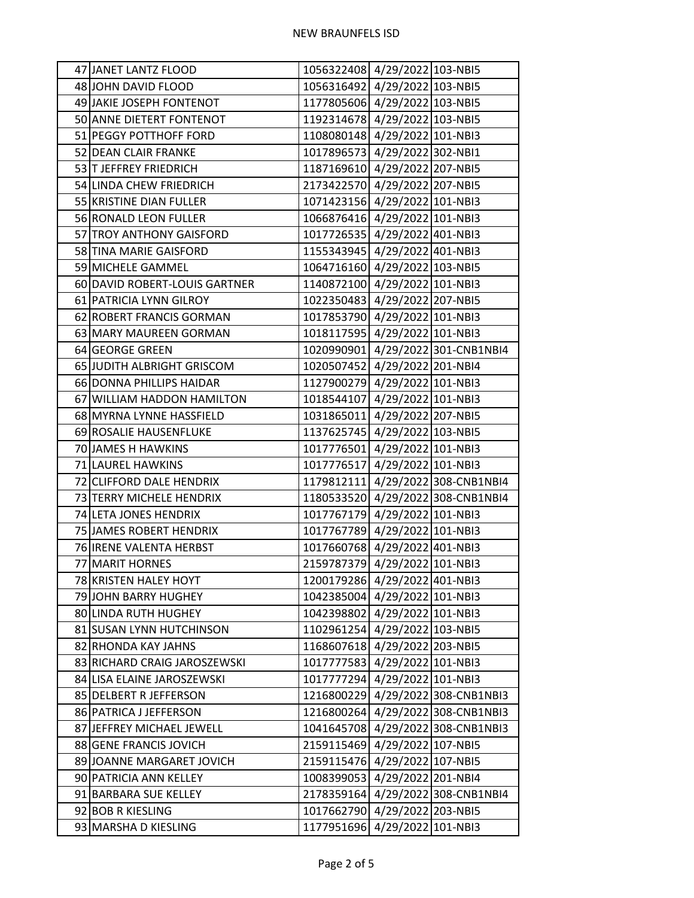| 47 JANET LANTZ FLOOD          | 1056322408 4/29/2022 103-NBI5 |                                   |
|-------------------------------|-------------------------------|-----------------------------------|
| 48 JOHN DAVID FLOOD           | 1056316492 4/29/2022 103-NBI5 |                                   |
| 49 JAKIE JOSEPH FONTENOT      | 1177805606 4/29/2022 103-NBI5 |                                   |
| 50 ANNE DIETERT FONTENOT      | 1192314678 4/29/2022 103-NBI5 |                                   |
| 51 PEGGY POTTHOFF FORD        | 1108080148 4/29/2022 101-NBI3 |                                   |
| 52 DEAN CLAIR FRANKE          | 1017896573 4/29/2022 302-NBI1 |                                   |
| 53 T JEFFREY FRIEDRICH        | 1187169610 4/29/2022 207-NBI5 |                                   |
| 54 LINDA CHEW FRIEDRICH       | 2173422570 4/29/2022 207-NBI5 |                                   |
| 55 KRISTINE DIAN FULLER       | 1071423156 4/29/2022 101-NBI3 |                                   |
| 56 RONALD LEON FULLER         | 1066876416 4/29/2022 101-NBI3 |                                   |
| 57 TROY ANTHONY GAISFORD      | 1017726535 4/29/2022 401-NBI3 |                                   |
| 58 TINA MARIE GAISFORD        | 1155343945 4/29/2022 401-NBI3 |                                   |
| 59 MICHELE GAMMEL             | 1064716160 4/29/2022 103-NBI5 |                                   |
| 60 DAVID ROBERT-LOUIS GARTNER | 1140872100 4/29/2022 101-NBI3 |                                   |
| 61 PATRICIA LYNN GILROY       | 1022350483 4/29/2022 207-NBI5 |                                   |
| 62 ROBERT FRANCIS GORMAN      | 1017853790 4/29/2022 101-NBI3 |                                   |
| 63 MARY MAUREEN GORMAN        | 1018117595 4/29/2022 101-NBI3 |                                   |
| 64 GEORGE GREEN               |                               | 1020990901 4/29/2022 301-CNB1NBI4 |
| 65 JUDITH ALBRIGHT GRISCOM    | 1020507452 4/29/2022 201-NBI4 |                                   |
| 66 DONNA PHILLIPS HAIDAR      | 1127900279 4/29/2022 101-NBI3 |                                   |
| 67 WILLIAM HADDON HAMILTON    | 1018544107 4/29/2022 101-NBI3 |                                   |
| 68 MYRNA LYNNE HASSFIELD      | 1031865011 4/29/2022 207-NBI5 |                                   |
| 69 ROSALIE HAUSENFLUKE        | 1137625745 4/29/2022 103-NBI5 |                                   |
| 70 JAMES H HAWKINS            | 1017776501 4/29/2022 101-NBI3 |                                   |
| 71 LAUREL HAWKINS             | 1017776517 4/29/2022 101-NBI3 |                                   |
| 72 CLIFFORD DALE HENDRIX      |                               | 1179812111 4/29/2022 308-CNB1NBI4 |
| 73 TERRY MICHELE HENDRIX      |                               | 1180533520 4/29/2022 308-CNB1NBI4 |
| 74 LETA JONES HENDRIX         | 1017767179 4/29/2022 101-NBI3 |                                   |
| 75 JAMES ROBERT HENDRIX       | 1017767789 4/29/2022 101-NBI3 |                                   |
| 76 IRENE VALENTA HERBST       | 1017660768 4/29/2022 401-NBI3 |                                   |
| 77 MARIT HORNES               | 2159787379 4/29/2022 101-NBI3 |                                   |
| 78 KRISTEN HALEY HOYT         | 1200179286 4/29/2022 401-NBI3 |                                   |
| 79 JOHN BARRY HUGHEY          | 1042385004 4/29/2022 101-NBI3 |                                   |
| 80 LINDA RUTH HUGHEY          | 1042398802 4/29/2022 101-NBI3 |                                   |
| 81 SUSAN LYNN HUTCHINSON      | 1102961254 4/29/2022 103-NBI5 |                                   |
| 82 RHONDA KAY JAHNS           | 1168607618 4/29/2022 203-NBI5 |                                   |
| 83 RICHARD CRAIG JAROSZEWSKI  | 1017777583 4/29/2022 101-NBI3 |                                   |
| 84 LISA ELAINE JAROSZEWSKI    | 1017777294 4/29/2022 101-NBI3 |                                   |
| 85 DELBERT R JEFFERSON        |                               | 1216800229 4/29/2022 308-CNB1NBI3 |
| 86 PATRICA J JEFFERSON        |                               | 1216800264 4/29/2022 308-CNB1NBI3 |
| 87 JEFFREY MICHAEL JEWELL     |                               | 1041645708 4/29/2022 308-CNB1NBI3 |
| 88 GENE FRANCIS JOVICH        | 2159115469 4/29/2022 107-NBI5 |                                   |
| 89 JOANNE MARGARET JOVICH     | 2159115476 4/29/2022 107-NBI5 |                                   |
| 90 PATRICIA ANN KELLEY        | 1008399053 4/29/2022 201-NBI4 |                                   |
| 91 BARBARA SUE KELLEY         |                               | 2178359164 4/29/2022 308-CNB1NBI4 |
| 92 BOB R KIESLING             | 1017662790 4/29/2022 203-NBI5 |                                   |
| 93 MARSHA D KIESLING          | 1177951696 4/29/2022 101-NBI3 |                                   |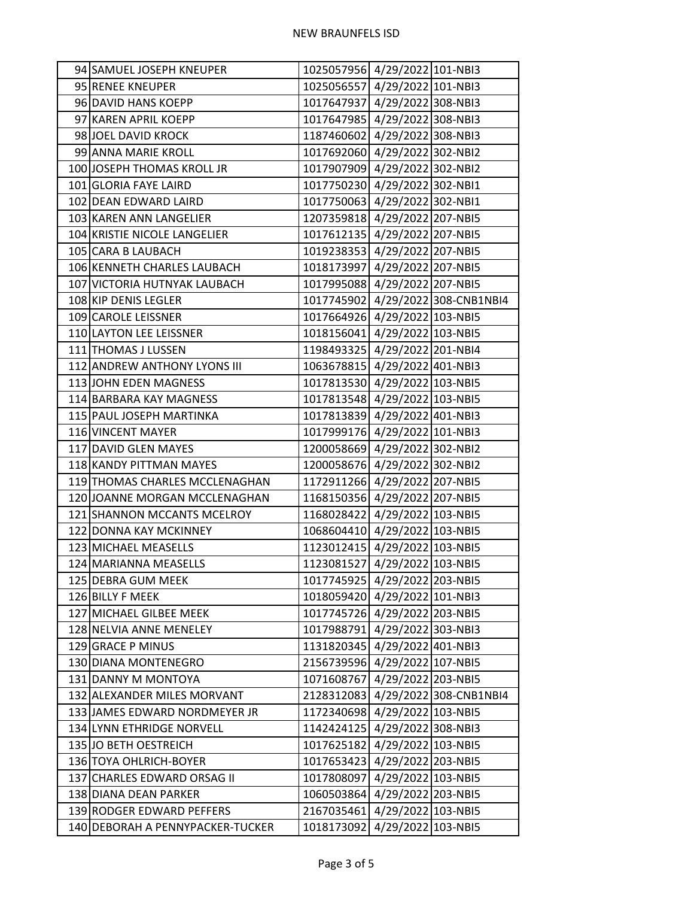| 94 SAMUEL JOSEPH KNEUPER         | 1025057956 4/29/2022 101-NBI3 |                                   |
|----------------------------------|-------------------------------|-----------------------------------|
| 95 RENEE KNEUPER                 | 1025056557 4/29/2022 101-NBI3 |                                   |
| 96 DAVID HANS KOEPP              | 1017647937 4/29/2022 308-NBI3 |                                   |
| 97 KAREN APRIL KOEPP             | 1017647985 4/29/2022 308-NBI3 |                                   |
| 98 JOEL DAVID KROCK              | 1187460602 4/29/2022 308-NBI3 |                                   |
| 99 ANNA MARIE KROLL              | 1017692060 4/29/2022 302-NBI2 |                                   |
| 100 JOSEPH THOMAS KROLL JR       | 1017907909 4/29/2022 302-NBI2 |                                   |
| 101 GLORIA FAYE LAIRD            | 1017750230 4/29/2022 302-NBI1 |                                   |
| 102 DEAN EDWARD LAIRD            | 1017750063 4/29/2022 302-NBI1 |                                   |
| 103 KAREN ANN LANGELIER          | 1207359818 4/29/2022 207-NBI5 |                                   |
| 104 KRISTIE NICOLE LANGELIER     | 1017612135 4/29/2022 207-NBI5 |                                   |
| 105 CARA B LAUBACH               | 1019238353 4/29/2022 207-NBI5 |                                   |
| 106 KENNETH CHARLES LAUBACH      | 1018173997 4/29/2022 207-NBI5 |                                   |
| 107 VICTORIA HUTNYAK LAUBACH     | 1017995088 4/29/2022 207-NBI5 |                                   |
| 108 KIP DENIS LEGLER             |                               | 1017745902 4/29/2022 308-CNB1NBI4 |
| 109 CAROLE LEISSNER              | 1017664926 4/29/2022 103-NBI5 |                                   |
| 110 LAYTON LEE LEISSNER          | 1018156041 4/29/2022 103-NBI5 |                                   |
| 111 THOMAS J LUSSEN              | 1198493325 4/29/2022 201-NBI4 |                                   |
| 112 ANDREW ANTHONY LYONS III     | 1063678815 4/29/2022 401-NBI3 |                                   |
| 113 JOHN EDEN MAGNESS            | 1017813530 4/29/2022 103-NBI5 |                                   |
| 114 BARBARA KAY MAGNESS          | 1017813548 4/29/2022 103-NBI5 |                                   |
| 115 PAUL JOSEPH MARTINKA         | 1017813839 4/29/2022 401-NBI3 |                                   |
| 116 VINCENT MAYER                | 1017999176 4/29/2022 101-NBI3 |                                   |
| 117 DAVID GLEN MAYES             | 1200058669 4/29/2022 302-NBI2 |                                   |
| 118 KANDY PITTMAN MAYES          | 1200058676 4/29/2022 302-NBI2 |                                   |
| 119 THOMAS CHARLES MCCLENAGHAN   | 1172911266 4/29/2022 207-NBI5 |                                   |
| 120 JOANNE MORGAN MCCLENAGHAN    | 1168150356 4/29/2022 207-NBI5 |                                   |
| 121 SHANNON MCCANTS MCELROY      | 1168028422 4/29/2022 103-NBI5 |                                   |
| 122 DONNA KAY MCKINNEY           | 1068604410 4/29/2022 103-NBI5 |                                   |
| 123 MICHAEL MEASELLS             | 1123012415 4/29/2022 103-NBI5 |                                   |
| 124 MARIANNA MEASELLS            | 1123081527 4/29/2022 103-NBI5 |                                   |
| 125 DEBRA GUM MEEK               | 1017745925 4/29/2022 203-NBI5 |                                   |
| 126 BILLY F MEEK                 | 1018059420 4/29/2022 101-NBI3 |                                   |
| 127 MICHAEL GILBEE MEEK          | 1017745726 4/29/2022 203-NBI5 |                                   |
| 128 NELVIA ANNE MENELEY          | 1017988791 4/29/2022 303-NBI3 |                                   |
| 129 GRACE P MINUS                | 1131820345 4/29/2022 401-NBI3 |                                   |
| 130 DIANA MONTENEGRO             | 2156739596 4/29/2022 107-NBI5 |                                   |
| 131 DANNY M MONTOYA              | 1071608767 4/29/2022 203-NBI5 |                                   |
| 132 ALEXANDER MILES MORVANT      |                               | 2128312083 4/29/2022 308-CNB1NBI4 |
| 133 JAMES EDWARD NORDMEYER JR    | 1172340698 4/29/2022 103-NBI5 |                                   |
| 134 LYNN ETHRIDGE NORVELL        | 1142424125 4/29/2022 308-NBI3 |                                   |
| 135 JO BETH OESTREICH            | 1017625182 4/29/2022 103-NBI5 |                                   |
| 136 TOYA OHLRICH-BOYER           | 1017653423 4/29/2022 203-NBI5 |                                   |
| 137 CHARLES EDWARD ORSAG II      | 1017808097 4/29/2022 103-NBI5 |                                   |
| 138 DIANA DEAN PARKER            | 1060503864 4/29/2022 203-NBI5 |                                   |
| 139 RODGER EDWARD PEFFERS        | 2167035461 4/29/2022 103-NBI5 |                                   |
| 140 DEBORAH A PENNYPACKER-TUCKER | 1018173092 4/29/2022 103-NBI5 |                                   |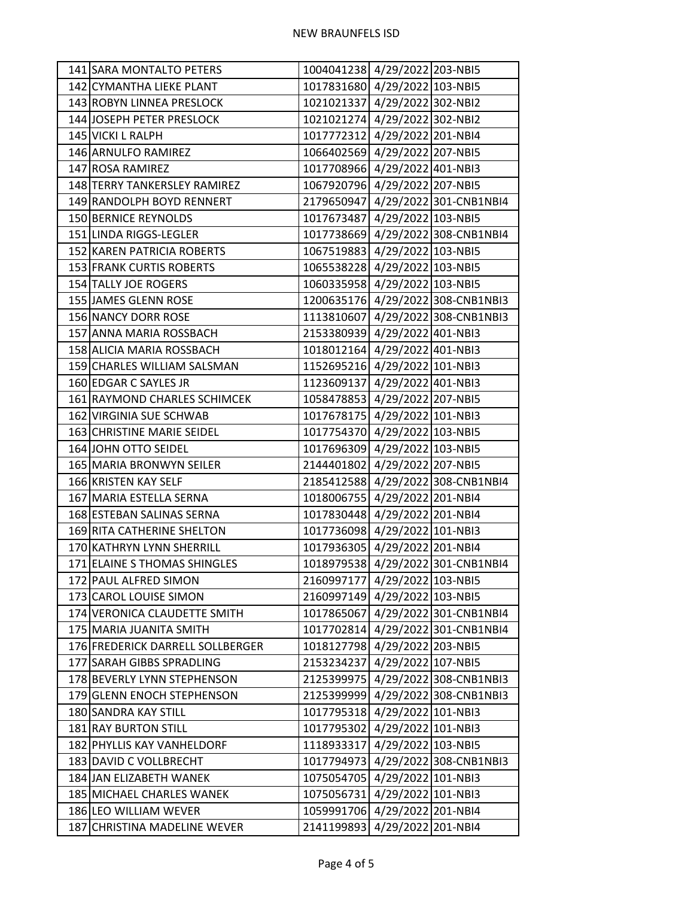| 141 SARA MONTALTO PETERS         | 1004041238 4/29/2022 203-NBI5 |                                   |
|----------------------------------|-------------------------------|-----------------------------------|
| 142 CYMANTHA LIEKE PLANT         | 1017831680 4/29/2022 103-NBI5 |                                   |
| 143 ROBYN LINNEA PRESLOCK        | 1021021337 4/29/2022 302-NBI2 |                                   |
| 144 JOSEPH PETER PRESLOCK        | 1021021274 4/29/2022 302-NBI2 |                                   |
| 145 VICKI L RALPH                | 1017772312 4/29/2022 201-NBI4 |                                   |
| 146 ARNULFO RAMIREZ              | 1066402569 4/29/2022 207-NBI5 |                                   |
| 147 ROSA RAMIREZ                 | 1017708966 4/29/2022 401-NBI3 |                                   |
| 148 TERRY TANKERSLEY RAMIREZ     | 1067920796 4/29/2022 207-NBI5 |                                   |
| 149 RANDOLPH BOYD RENNERT        |                               | 2179650947 4/29/2022 301-CNB1NBI4 |
| 150 BERNICE REYNOLDS             | 1017673487 4/29/2022 103-NBI5 |                                   |
| 151 LINDA RIGGS-LEGLER           |                               | 1017738669 4/29/2022 308-CNB1NBI4 |
| 152 KAREN PATRICIA ROBERTS       | 1067519883 4/29/2022 103-NBI5 |                                   |
| 153 FRANK CURTIS ROBERTS         | 1065538228 4/29/2022 103-NBI5 |                                   |
| 154 TALLY JOE ROGERS             | 1060335958 4/29/2022 103-NBI5 |                                   |
| 155 JAMES GLENN ROSE             |                               | 1200635176 4/29/2022 308-CNB1NBI3 |
| 156 NANCY DORR ROSE              |                               | 1113810607 4/29/2022 308-CNB1NBI3 |
| 157 ANNA MARIA ROSSBACH          | 2153380939 4/29/2022 401-NBI3 |                                   |
| 158 ALICIA MARIA ROSSBACH        | 1018012164 4/29/2022 401-NBI3 |                                   |
| 159 CHARLES WILLIAM SALSMAN      | 1152695216 4/29/2022 101-NBI3 |                                   |
| 160 EDGAR C SAYLES JR            | 1123609137 4/29/2022 401-NBI3 |                                   |
| 161 RAYMOND CHARLES SCHIMCEK     | 1058478853 4/29/2022 207-NBI5 |                                   |
| 162 VIRGINIA SUE SCHWAB          | 1017678175 4/29/2022 101-NBI3 |                                   |
| 163 CHRISTINE MARIE SEIDEL       | 1017754370 4/29/2022 103-NBI5 |                                   |
| 164 JOHN OTTO SEIDEL             | 1017696309 4/29/2022 103-NBI5 |                                   |
| 165 MARIA BRONWYN SEILER         | 2144401802 4/29/2022 207-NBI5 |                                   |
| 166 KRISTEN KAY SELF             |                               | 2185412588 4/29/2022 308-CNB1NBI4 |
| 167 MARIA ESTELLA SERNA          | 1018006755 4/29/2022 201-NBI4 |                                   |
| 168 ESTEBAN SALINAS SERNA        | 1017830448 4/29/2022 201-NBI4 |                                   |
| 169 RITA CATHERINE SHELTON       | 1017736098 4/29/2022 101-NBI3 |                                   |
| 170 KATHRYN LYNN SHERRILL        | 1017936305 4/29/2022 201-NBI4 |                                   |
| 171 ELAINE S THOMAS SHINGLES     |                               | 1018979538 4/29/2022 301-CNB1NBI4 |
| 172 PAUL ALFRED SIMON            | 2160997177 4/29/2022 103-NBI5 |                                   |
| 173 CAROL LOUISE SIMON           | 2160997149 4/29/2022 103-NBI5 |                                   |
| 174 VERONICA CLAUDETTE SMITH     |                               | 1017865067 4/29/2022 301-CNB1NBI4 |
| 175 MARIA JUANITA SMITH          |                               | 1017702814 4/29/2022 301-CNB1NBI4 |
| 176 FREDERICK DARRELL SOLLBERGER | 1018127798 4/29/2022 203-NBI5 |                                   |
| 177 SARAH GIBBS SPRADLING        | 2153234237 4/29/2022 107-NBI5 |                                   |
| 178 BEVERLY LYNN STEPHENSON      |                               | 2125399975 4/29/2022 308-CNB1NBI3 |
| 179 GLENN ENOCH STEPHENSON       |                               | 2125399999 4/29/2022 308-CNB1NBI3 |
| 180 SANDRA KAY STILL             | 1017795318 4/29/2022 101-NBI3 |                                   |
| 181 RAY BURTON STILL             | 1017795302 4/29/2022 101-NBI3 |                                   |
| 182 PHYLLIS KAY VANHELDORF       | 1118933317 4/29/2022 103-NBI5 |                                   |
| 183 DAVID C VOLLBRECHT           |                               | 1017794973 4/29/2022 308-CNB1NBI3 |
| 184 JAN ELIZABETH WANEK          | 1075054705 4/29/2022 101-NBI3 |                                   |
| 185 MICHAEL CHARLES WANEK        | 1075056731 4/29/2022 101-NBI3 |                                   |
| 186 LEO WILLIAM WEVER            | 1059991706 4/29/2022 201-NBI4 |                                   |
| 187 CHRISTINA MADELINE WEVER     | 2141199893 4/29/2022 201-NBI4 |                                   |